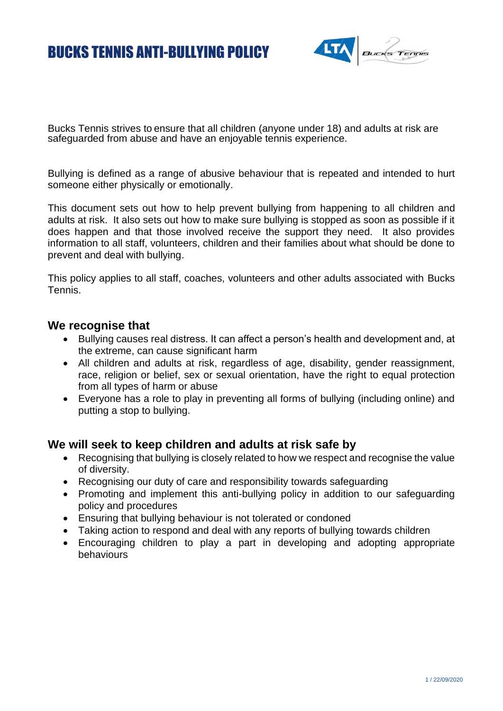# BUCKS TENNIS ANTI-BULLYING POLICY



Bucks Tennis strives to ensure that all children (anyone under 18) and adults at risk are safeguarded from abuse and have an enjoyable tennis experience.

Bullying is defined as a range of abusive behaviour that is repeated and intended to hurt someone either physically or emotionally.

This document sets out how to help prevent bullying from happening to all children and adults at risk. It also sets out how to make sure bullying is stopped as soon as possible if it does happen and that those involved receive the support they need. It also provides information to all staff, volunteers, children and their families about what should be done to prevent and deal with bullying.

This policy applies to all staff, coaches, volunteers and other adults associated with Bucks Tennis.

#### **We recognise that**

- Bullying causes real distress. It can affect a person's health and development and, at the extreme, can cause significant harm
- All children and adults at risk, regardless of age, disability, gender reassignment, race, religion or belief, sex or sexual orientation, have the right to equal protection from all types of harm or abuse
- Everyone has a role to play in preventing all forms of bullying (including online) and putting a stop to bullying.

### **We will seek to keep children and adults at risk safe by**

- Recognising that bullying is closely related to how we respect and recognise the value of diversity.
- Recognising our duty of care and responsibility towards safeguarding
- Promoting and implement this anti-bullying policy in addition to our safeguarding policy and procedures
- Ensuring that bullying behaviour is not tolerated or condoned
- Taking action to respond and deal with any reports of bullying towards children
- Encouraging children to play a part in developing and adopting appropriate behaviours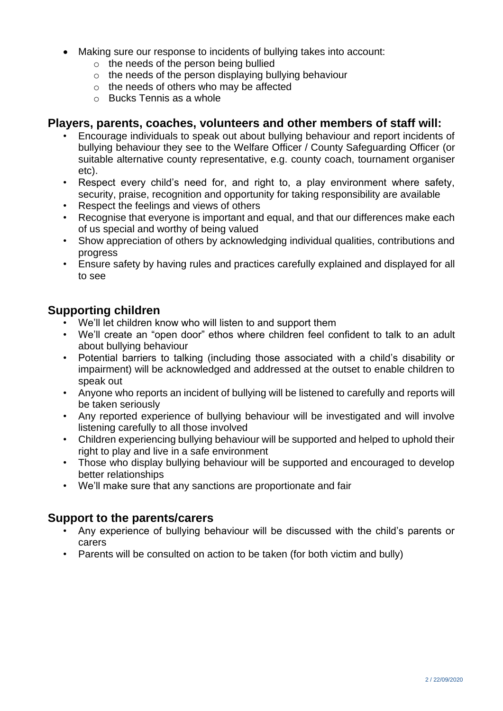- Making sure our response to incidents of bullying takes into account:
	- $\circ$  the needs of the person being bullied
	- $\circ$  the needs of the person displaying bullying behaviour
	- o the needs of others who may be affected
	- $\circ$  Bucks Tennis as a whole

## **Players, parents, coaches, volunteers and other members of staff will:**

- Encourage individuals to speak out about bullying behaviour and report incidents of bullying behaviour they see to the Welfare Officer / County Safeguarding Officer (or suitable alternative county representative, e.g. county coach, tournament organiser etc).
- Respect every child's need for, and right to, a play environment where safety, security, praise, recognition and opportunity for taking responsibility are available
- Respect the feelings and views of others
- Recognise that everyone is important and equal, and that our differences make each of us special and worthy of being valued
- Show appreciation of others by acknowledging individual qualities, contributions and progress
- Ensure safety by having rules and practices carefully explained and displayed for all to see

## **Supporting children**

- We'll let children know who will listen to and support them
- We'll create an "open door" ethos where children feel confident to talk to an adult about bullying behaviour
- Potential barriers to talking (including those associated with a child's disability or impairment) will be acknowledged and addressed at the outset to enable children to speak out
- Anyone who reports an incident of bullying will be listened to carefully and reports will be taken seriously
- Any reported experience of bullying behaviour will be investigated and will involve listening carefully to all those involved
- Children experiencing bullying behaviour will be supported and helped to uphold their right to play and live in a safe environment
- Those who display bullying behaviour will be supported and encouraged to develop better relationships
- We'll make sure that any sanctions are proportionate and fair

### **Support to the parents/carers**

- Any experience of bullying behaviour will be discussed with the child's parents or carers
- Parents will be consulted on action to be taken (for both victim and bully)